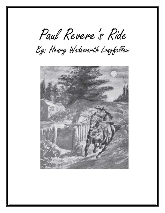Paul Revere's Ride

By: Henry Wadsworth Longfellow

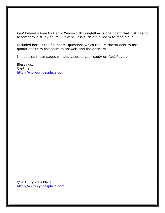*Paul Revere's Ride* by Henry Wadsworth Longfellow is one poem that just has to accompany a study on Paul Revere. It is such a fun poem to read aloud!

Included here is the full poem, questions which require the student to use quotations from the poem to answer, and the answers.

I hope that these pages will add value to your study on Paul Revere.

Blessings, **Cynthia** [http://www.cyncesplace.com](http://www.cyncesplace.com/)

©2010 Cynce's Place [http://www.cyncesplace.com](http://www.cyncesplace.com/)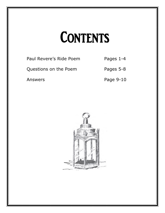## **CONTENTS**

Paul Revere's Ride Poem Pages 1-4

Questions on the Poem Pages 5-8

Answers Page 9-10

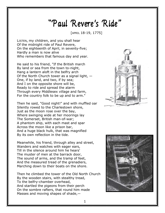## "Paul Revere's Ride"

[APRIL 18-19, 1775]

LISTEN, my children, and you shall hear Of the midnight ride of Paul Revere, On the eighteenth of April, in seventy-five; Hardly a man is now alive Who remembers that famous day and year.

He said to his friend, "If the British march By land or sea from the town to-night, Hang a lantern aloft in the belfry arch Of the North Church tower as a signal light,  $-$ One, if by land, and two, if by sea; And I on the opposite shore will be, Ready to ride and spread the alarm Through every Middlesex village and farm, For the country folk to be up and to arm."

Then he said, "Good night!" and with muffled oar Silently rowed to the Charlestown shore, Just as the moon rose over the bay, Where swinging wide at her moorings lay The Somerset, British man-of-war; A phantom ship, with each mast and spar Across the moon like a prison bar, And a huge black hulk, that was magnified By its own reflection in the tide.

Meanwhile, his friend, through alley and street, Wanders and watches with eager ears, Till in the silence around him he hears' The muster of men at the barrack door, The sound of arms, and the tramp of feet, And the measured tread of the grenadiers, Marching down to their boats on the shore.

Then he climbed the tower of the Old North Church By the wooden stairs, with stealthy tread, To the belfry-chamber overhead, And startled the pigeons from their perch On the sombre rafters, that round him made Masses and moving shapes of shade,—



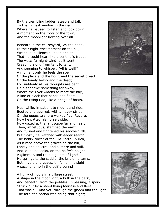By the trembling ladder, steep and tall, To the highest window in the wall, Where he paused to listen and look down A moment on the roofs of the town, And the moonlight flowing over all.

Beneath in the churchyard, lay the dead, In their night-encampment on the hill, Wrapped in silence so deep and still That he could hear, like a sentinel's tread, The watchful night-wind, as it went Creeping along from tent to tent, And seeming to whisper, "All is well!" A moment only he feels the spell Of the place and the hour, and the secret dread Of the lonely belfry and the dead; For suddenly all his thoughts are bent On a shadowy something far away, Where the river widens to meet the bay,— A line of black that bends and floats On the rising tide, like a bridge of boats.

Meanwhile, impatient to mount and ride, Booted and spurred, with a heavy stride On the opposite shore walked Paul Revere. Now he patted his horse's side, Now gazed at the landscape far and near, Then, impetuous, stamped the earth, And turned and tightened his saddle-girth; But mostly he watched with eager search The belfry-tower of the Old North Church, As it rose above the graves on the hill, Lonely and spectral and sombre and still. And lo! as he looks, on the belfry's height A glimmer, and then a gleam of light! He springs to the saddle, the bridle he turns, But lingers and gazes, till full on his sight A second lamp in the belfry burns!

A hurry of hoofs in a village street, A shape in the moonlight, a bulk in the dark, And beneath, from the pebbles, in passing, a spark Struck out by a steed flying fearless and fleet: That was all! And yet, through the gloom and the light, The fate of a nation was riding that night;





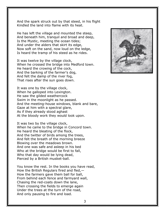And the spark struck out by that steed, in his flight Kindled the land into flame with its heat.

He has left the village and mounted the steep, And beneath him, tranquil and broad and deep, Is the Mystic, meeting the ocean tides; And under the alders that skirt its edge, Now soft on the sand, now loud on the ledge, Is heard the tramp of his steed as he rides.

It was twelve by the village clock, When he crossed the bridge into Medford town. He heard the crowing of the cock, And the barking of the farmer's dog, And felt the damp of the river fog, That rises after the sun goes down.

It was one by the village clock, When he galloped into Lexington. He saw the gilded weathercock Swim in the moonlight as he passed. And the meeting-house windows, blank and bare, Gaze at him with a spectral glare, As if they already stood aghast At the bloody work they would look upon.

It was two by the village clock, When he came to the bridge in Concord town. He heard the bleating of the flock, And the twitter of birds among the trees, And felt the breath of the morning breeze Blowing over the meadows brown. And one was safe and asleep in his bed Who at the bridge would be first to fall, Who that day would be lying dead, Pierced by a British musket-ball.

You know the rest. In the books you have read, How the British Regulars fired and fled,— How the farmers gave them ball for ball, From behind each fence and farmyard wall, Chasing the red-coats down the lane, Then crossing the fields to emerge again Under the trees at the turn of the road, And only pausing to fire and load.

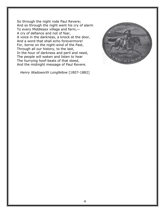So through the night rode Paul Revere; And so through the night went his cry of alarm To every Middlesex village and farm,— A cry of defiance and not of fear, A voice in the darkness, a knock at the door, And a word that shall echo forevermore! For, borne on the night-wind of the Past, Through all our history, to the last, In the hour of darkness and peril and need, The people will waken and listen to hear The hurrying hoof-beats of that steed, And the midnight message of Paul Revere.

*Henry Wadsworth Longfellow* [1807-1882]

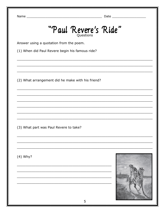## "Paul Revere's Ride"

Answer using a quotation from the poem.

(1) When did Paul Revere begin his famous ride?

(2) What arrangement did he make with his friend?

(3) What part was Paul Revere to take?

 $(4)$  Why?

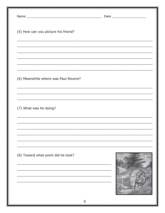| (5) How can you picture his friend?  |  |
|--------------------------------------|--|
|                                      |  |
|                                      |  |
| (6) Meanwhile where was Paul Revere? |  |
|                                      |  |
| (7) What was he doing?               |  |
|                                      |  |
|                                      |  |
| (8) Toward what point did he look?   |  |
|                                      |  |
|                                      |  |
| 6                                    |  |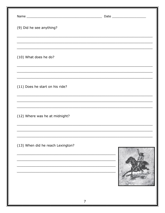| <u> 1980 - Jan James James James James James James James James James James James James James James James James</u> |
|--------------------------------------------------------------------------------------------------------------------|
|                                                                                                                    |
|                                                                                                                    |
|                                                                                                                    |
|                                                                                                                    |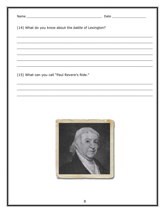| (14) What do you know about the battle of Lexington? |  |
|------------------------------------------------------|--|
|                                                      |  |
|                                                      |  |
|                                                      |  |
| (15) What can you call "Paul Revere's Ride."         |  |
|                                                      |  |
|                                                      |  |
|                                                      |  |
|                                                      |  |
| 8                                                    |  |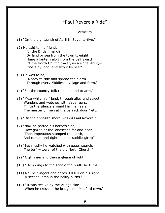| Answers                                                                                                                                                                                                                                |
|----------------------------------------------------------------------------------------------------------------------------------------------------------------------------------------------------------------------------------------|
| (1) "On the eighteenth of April In Seventy-five."                                                                                                                                                                                      |
| (2) He said to his friend,<br>"If the British march<br>By land or sea from the town to-night,<br>Hang a lantern aloft from the belfry-arch<br>Of the North Church tower, as a signal-light, $-$<br>One if by land, and two if by sea:" |
| $(3)$ He was to be,<br>"Ready to ride and spread the alarm<br>Through every Middlesex village and farm,"                                                                                                                               |
| (4) "For the country-folk to be up and to arm."                                                                                                                                                                                        |
| (5) "Meanwhile his friend, through alley and street,<br>Wanders and watches with eager ears,<br>Till In the silence around him he hears<br>The muster of men at the barrack door," etc.                                                |
| (6) "On the opposite shore walked Paul Revere."                                                                                                                                                                                        |
| (7) "Now he patted his horse's side,<br>Now gazed at the landscape far and near.<br>Then impetuous stamped the earth,<br>And turned and tightened his saddle-girth;"                                                                   |
| (8) "But mostly he watched with eager search,<br>The belfry-tower of the old North Church."                                                                                                                                            |
| (9) "A glimmer and then a gleam of light!"                                                                                                                                                                                             |
| (10) "He springs to the saddle the bridle he turns,"                                                                                                                                                                                   |
| (11) No, he "lingers and gazes, till full on his sight<br>A second lamp in the belfry burns."                                                                                                                                          |
| (12) "It was twelve by the village clock<br>When he crossed the bridge into Medford town."                                                                                                                                             |